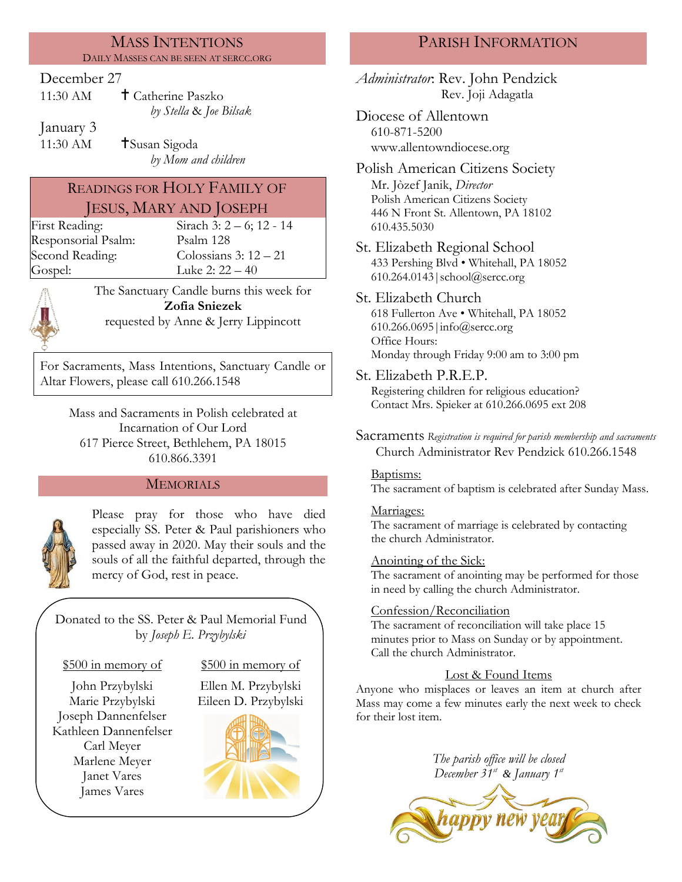#### MASS INTENTIONS DAILY MASSES CAN BE SEEN AT SERCC.ORG

#### December 27

| 11:30 AM | <b>†</b> Catherine Paszko |
|----------|---------------------------|
|          | by Stella & Joe Bilsak    |

January 3

11:30 AM **T**Susan Sigoda *by Mom and children*

# READINGS FOR HOLY FAMILY OF JESUS, MARY AND JOSEPH

First Reading: Sirach 3: 2 – 6; 12 - 14 Responsorial Psalm: [Psalm](http://www.usccb.org/bible/readings/bible/psalms/25:4) 128

Second Reading: Colossians 3: 12 – 21 Gospel: Luke 2: 22 – 40

The Sanctuary Candle burns this week for **Zofia Sniezek** requested by Anne & Jerry Lippincott

For Sacraments, Mass Intentions, Sanctuary Candle or Altar Flowers, please call 610.266.1548

Mass and Sacraments in Polish celebrated at Incarnation of Our Lord 617 Pierce Street, Bethlehem, PA 18015 610.866.3391

## MEMORIALS



Please pray for those who have died especially SS. Peter & Paul parishioners who passed away in 2020. May their souls and the souls of all the faithful departed, through the mercy of God, rest in peace.

Donated to the SS. Peter & Paul Memorial Fund by *Joseph E. Przybylski*

#### \$500 in memory of \$500 in memory of

John Przybylski Ellen M. Przybylski Marie Przybylski Eileen D. Przybylski Joseph Dannenfelser Kathleen Dannenfelser Carl Meyer Marlene Meyer Janet Vares James Vares



# PARISH INFORMATION

*Administrator*: Rev. John Pendzick Rev. Joji Adagatla

Diocese of Allentown 610-871-5200 www.allentowndiocese.org

Polish American Citizens Society Mr. Jòzef Janik, *Director* Polish American Citizens Society 446 N Front St. Allentown, PA 18102 610.435.5030

St. Elizabeth Regional School 433 Pershing Blvd • Whitehall, PA 18052 610.264.0143|school@sercc.org

# St. Elizabeth Church

618 Fullerton Ave • Whitehall, PA 18052 610.266.0695|info@sercc.org Office Hours: Monday through Friday 9:00 am to 3:00 pm

St. Elizabeth P.R.E.P.

Registering children for religious education? Contact Mrs. Spieker at 610.266.0695 ext 208

Sacraments *Registration is required for parish membership and sacraments* Church Administrator Rev Pendzick 610.266.1548

#### Baptisms:

The sacrament of baptism is celebrated after Sunday Mass.

## Marriages:

The sacrament of marriage is celebrated by contacting the church Administrator.

## Anointing of the Sick:

The sacrament of anointing may be performed for those in need by calling the church Administrator.

## Confession/Reconciliation

The sacrament of reconciliation will take place 15 minutes prior to Mass on Sunday or by appointment. Call the church Administrator.

## Lost & Found Items

Anyone who misplaces or leaves an item at church after Mass may come a few minutes early the next week to check for their lost item.

> *The parish office will be closed December 31st & January 1st*